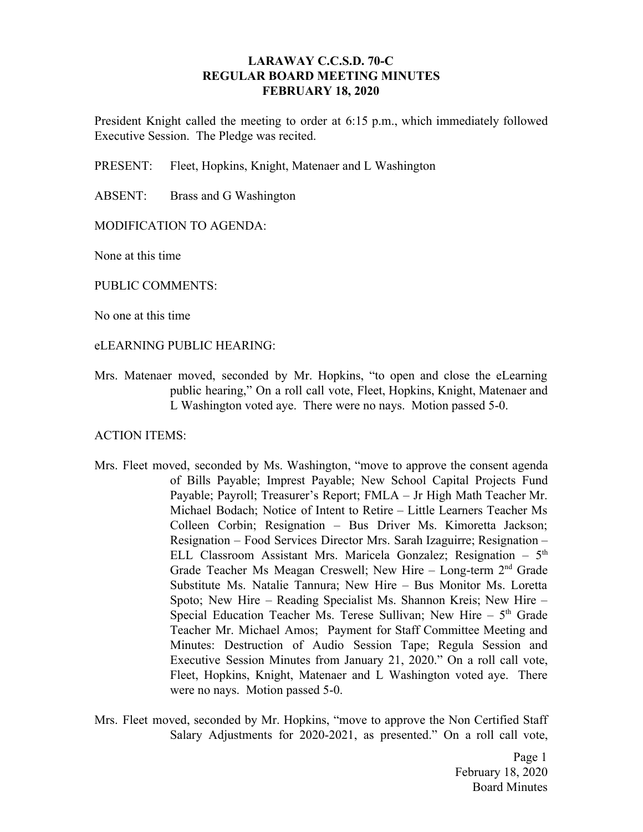# **LARAWAY C.C.S.D. 70-C REGULAR BOARD MEETING MINUTES FEBRUARY 18, 2020**

President Knight called the meeting to order at 6:15 p.m., which immediately followed Executive Session. The Pledge was recited.

PRESENT: Fleet, Hopkins, Knight, Matenaer and L Washington

ABSENT: Brass and G Washington

# MODIFICATION TO AGENDA:

None at this time

PUBLIC COMMENTS:

No one at this time

#### eLEARNING PUBLIC HEARING:

Mrs. Matenaer moved, seconded by Mr. Hopkins, "to open and close the eLearning public hearing," On a roll call vote, Fleet, Hopkins, Knight, Matenaer and L Washington voted aye. There were no nays. Motion passed 5-0.

## ACTION ITEMS:

- Mrs. Fleet moved, seconded by Ms. Washington, "move to approve the consent agenda of Bills Payable; Imprest Payable; New School Capital Projects Fund Payable; Payroll; Treasurer's Report; FMLA – Jr High Math Teacher Mr. Michael Bodach; Notice of Intent to Retire – Little Learners Teacher Ms Colleen Corbin; Resignation – Bus Driver Ms. Kimoretta Jackson; Resignation – Food Services Director Mrs. Sarah Izaguirre; Resignation – ELL Classroom Assistant Mrs. Maricela Gonzalez; Resignation - 5<sup>th</sup> Grade Teacher Ms Meagan Creswell; New Hire - Long-term 2<sup>nd</sup> Grade Substitute Ms. Natalie Tannura; New Hire – Bus Monitor Ms. Loretta Spoto; New Hire – Reading Specialist Ms. Shannon Kreis; New Hire – Special Education Teacher Ms. Terese Sullivan; New Hire  $-5<sup>th</sup>$  Grade Teacher Mr. Michael Amos; Payment for Staff Committee Meeting and Minutes: Destruction of Audio Session Tape; Regula Session and Executive Session Minutes from January 21, 2020." On a roll call vote, Fleet, Hopkins, Knight, Matenaer and L Washington voted aye. There were no nays. Motion passed 5-0.
- Mrs. Fleet moved, seconded by Mr. Hopkins, "move to approve the Non Certified Staff Salary Adjustments for 2020-2021, as presented." On a roll call vote,

Page 1 February 18, 2020 Board Minutes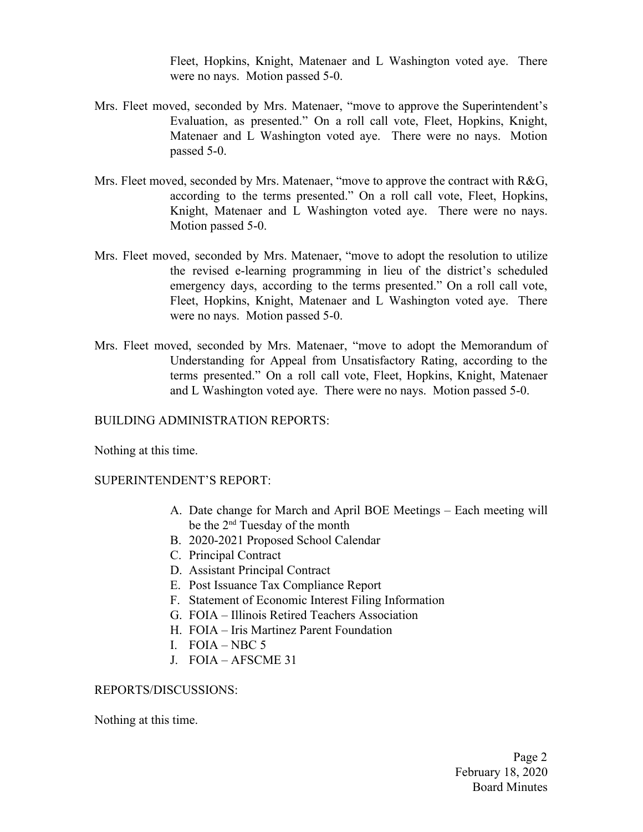Fleet, Hopkins, Knight, Matenaer and L Washington voted aye. There were no nays. Motion passed 5-0.

- Mrs. Fleet moved, seconded by Mrs. Matenaer, "move to approve the Superintendent's Evaluation, as presented." On a roll call vote, Fleet, Hopkins, Knight, Matenaer and L Washington voted aye. There were no nays. Motion passed 5-0.
- Mrs. Fleet moved, seconded by Mrs. Matenaer, "move to approve the contract with R&G, according to the terms presented." On a roll call vote, Fleet, Hopkins, Knight, Matenaer and L Washington voted aye. There were no nays. Motion passed 5-0.
- Mrs. Fleet moved, seconded by Mrs. Matenaer, "move to adopt the resolution to utilize the revised e-learning programming in lieu of the district's scheduled emergency days, according to the terms presented." On a roll call vote, Fleet, Hopkins, Knight, Matenaer and L Washington voted aye. There were no nays. Motion passed 5-0.
- Mrs. Fleet moved, seconded by Mrs. Matenaer, "move to adopt the Memorandum of Understanding for Appeal from Unsatisfactory Rating, according to the terms presented." On a roll call vote, Fleet, Hopkins, Knight, Matenaer and L Washington voted aye. There were no nays. Motion passed 5-0.

BUILDING ADMINISTRATION REPORTS:

Nothing at this time.

SUPERINTENDENT'S REPORT:

- A. Date change for March and April BOE Meetings Each meeting will be the 2<sup>nd</sup> Tuesday of the month
- B. 2020-2021 Proposed School Calendar
- C. Principal Contract
- D. Assistant Principal Contract
- E. Post Issuance Tax Compliance Report
- F. Statement of Economic Interest Filing Information
- G. FOIA Illinois Retired Teachers Association
- H. FOIA Iris Martinez Parent Foundation
- I. FOIA NBC  $5$
- J. FOIA AFSCME 31

## REPORTS/DISCUSSIONS:

Nothing at this time.

Page 2 February 18, 2020 Board Minutes